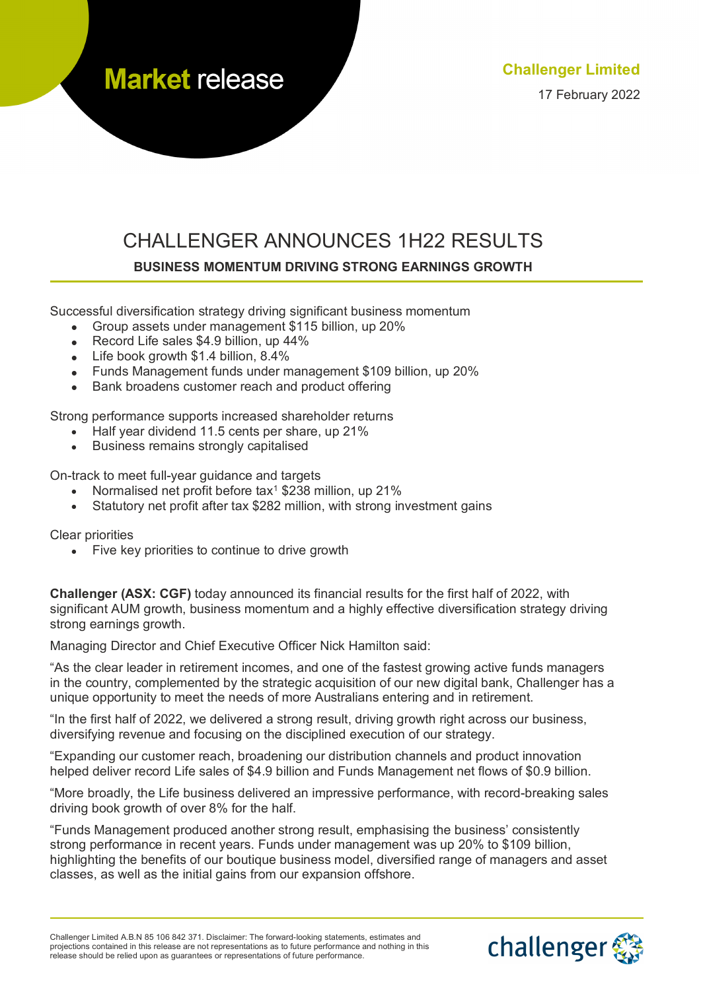**Market release** 

# CHALLENGER ANNOUNCES 1H22 RESULTS **BUSINESS MOMENTUM DRIVING STRONG EARNINGS GROWTH**

Successful diversification strategy driving significant business momentum

- Group assets under management \$115 billion, up 20%
- Record Life sales \$4.9 billion, up 44%
- Life book growth \$1.4 billion, 8.4%
- Funds Management funds under management \$109 billion, up 20%
- Bank broadens customer reach and product offering

Strong performance supports increased shareholder returns

- Half year dividend 11.5 cents per share, up 21%
- Business remains strongly capitalised

On-track to meet full-year guidance and targets

- Normalised net profit before tax<sup>1</sup> \$238 million, up 21%
- Statutory net profit after tax \$282 million, with strong investment gains

Clear priorities

• Five key priorities to continue to drive growth

**Challenger (ASX: CGF)** today announced its financial results for the first half of 2022, with significant AUM growth, business momentum and a highly effective diversification strategy driving strong earnings growth.

Managing Director and Chief Executive Officer Nick Hamilton said:

"As the clear leader in retirement incomes, and one of the fastest growing active funds managers in the country, complemented by the strategic acquisition of our new digital bank, Challenger has a unique opportunity to meet the needs of more Australians entering and in retirement.

"In the first half of 2022, we delivered a strong result, driving growth right across our business, diversifying revenue and focusing on the disciplined execution of our strategy.

"Expanding our customer reach, broadening our distribution channels and product innovation helped deliver record Life sales of \$4.9 billion and Funds Management net flows of \$0.9 billion.

"More broadly, the Life business delivered an impressive performance, with record-breaking sales driving book growth of over 8% for the half.

"Funds Management produced another strong result, emphasising the business' consistently strong performance in recent years. Funds under management was up 20% to \$109 billion, highlighting the benefits of our boutique business model, diversified range of managers and asset classes, as well as the initial gains from our expansion offshore.

Challenger Limited A.B.N 85 106 842 371. Disclaimer: The forward-looking statements, estimates and projections contained in this release are not representations as to future performance and nothing in this release should be relied upon as guarantees or representations of future performance.

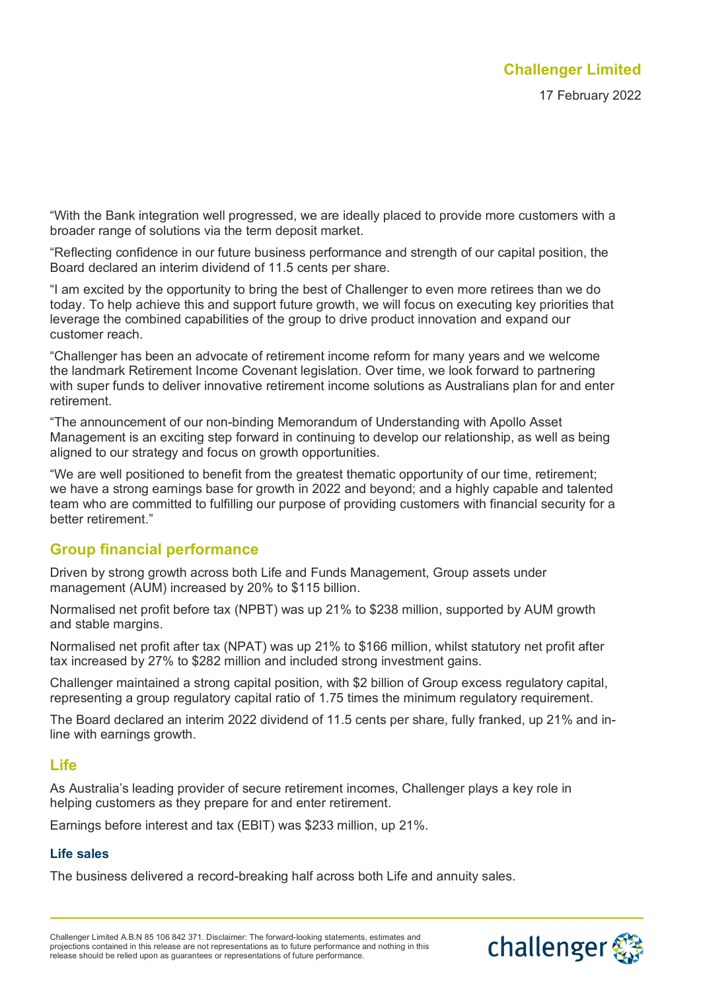"With the Bank integration well progressed, we are ideally placed to provide more customers with a broader range of solutions via the term deposit market.

"Reflecting confidence in our future business performance and strength of our capital position, the Board declared an interim dividend of 11.5 cents per share.

"I am excited by the opportunity to bring the best of Challenger to even more retirees than we do today. To help achieve this and support future growth, we will focus on executing key priorities that leverage the combined capabilities of the group to drive product innovation and expand our customer reach.

"Challenger has been an advocate of retirement income reform for many years and we welcome the landmark Retirement Income Covenant legislation. Over time, we look forward to partnering with super funds to deliver innovative retirement income solutions as Australians plan for and enter retirement.

"The announcement of our non-binding Memorandum of Understanding with Apollo Asset Management is an exciting step forward in continuing to develop our relationship, as well as being aligned to our strategy and focus on growth opportunities.

"We are well positioned to benefit from the greatest thematic opportunity of our time, retirement; we have a strong earnings base for growth in 2022 and beyond; and a highly capable and talented team who are committed to fulfilling our purpose of providing customers with financial security for a better retirement."

## **Group financial performance**

Driven by strong growth across both Life and Funds Management, Group assets under management (AUM) increased by 20% to \$115 billion.

Normalised net profit before tax (NPBT) was up 21% to \$238 million, supported by AUM growth and stable margins.

Normalised net profit after tax (NPAT) was up 21% to \$166 million, whilst statutory net profit after tax increased by 27% to \$282 million and included strong investment gains.

Challenger maintained a strong capital position, with \$2 billion of Group excess regulatory capital, representing a group regulatory capital ratio of 1.75 times the minimum regulatory requirement.

The Board declared an interim 2022 dividend of 11.5 cents per share, fully franked, up 21% and inline with earnings growth.

## **Life**

As Australia's leading provider of secure retirement incomes, Challenger plays a key role in helping customers as they prepare for and enter retirement.

Earnings before interest and tax (EBIT) was \$233 million, up 21%.

## **Life sales**

The business delivered a record-breaking half across both Life and annuity sales.

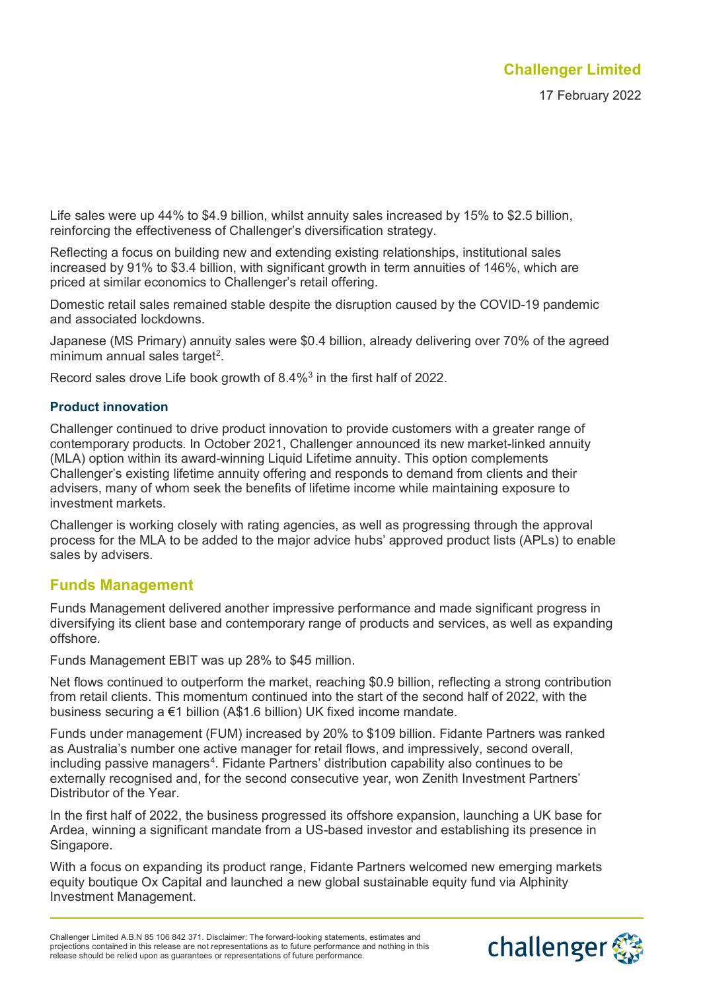Life sales were up 44% to \$4.9 billion, whilst annuity sales increased by 15% to \$2.5 billion, reinforcing the effectiveness of Challenger's diversification strategy.

Reflecting a focus on building new and extending existing relationships, institutional sales increased by 91% to \$3.4 billion, with significant growth in term annuities of 146%, which are priced at similar economics to Challenger's retail offering.

Domestic retail sales remained stable despite the disruption caused by the COVID-19 pandemic and associated lockdowns.

Japanese (MS Primary) annuity sales were \$0.4 billion, already delivering over 70% of the agreed minimum annual sales target $2$ .

Record sales drove Life book growth of 8.4%[3](#page-5-2) in the first half of 2022.

#### **Product innovation**

Challenger continued to drive product innovation to provide customers with a greater range of contemporary products. In October 2021, Challenger announced its new market-linked annuity (MLA) option within its award-winning Liquid Lifetime annuity. This option complements Challenger's existing lifetime annuity offering and responds to demand from clients and their advisers, many of whom seek the benefits of lifetime income while maintaining exposure to investment markets.

Challenger is working closely with rating agencies, as well as progressing through the approval process for the MLA to be added to the major advice hubs' approved product lists (APLs) to enable sales by advisers.

## **Funds Management**

Funds Management delivered another impressive performance and made significant progress in diversifying its client base and contemporary range of products and services, as well as expanding offshore.

Funds Management EBIT was up 28% to \$45 million.

Net flows continued to outperform the market, reaching \$0.9 billion, reflecting a strong contribution from retail clients. This momentum continued into the start of the second half of 2022, with the business securing a €1 billion (A\$1.6 billion) UK fixed income mandate.

Funds under management (FUM) increased by 20% to \$109 billion. Fidante Partners was ranked as Australia's number one active manager for retail flows, and impressively, second overall, including passive managers $^4$  $^4$ . Fidante Partners' distribution capability also continues to be externally recognised and, for the second consecutive year, won Zenith Investment Partners' Distributor of the Year.

In the first half of 2022, the business progressed its offshore expansion, launching a UK base for Ardea, winning a significant mandate from a US-based investor and establishing its presence in Singapore.

With a focus on expanding its product range, Fidante Partners welcomed new emerging markets equity boutique Ox Capital and launched a new global sustainable equity fund via Alphinity Investment Management.

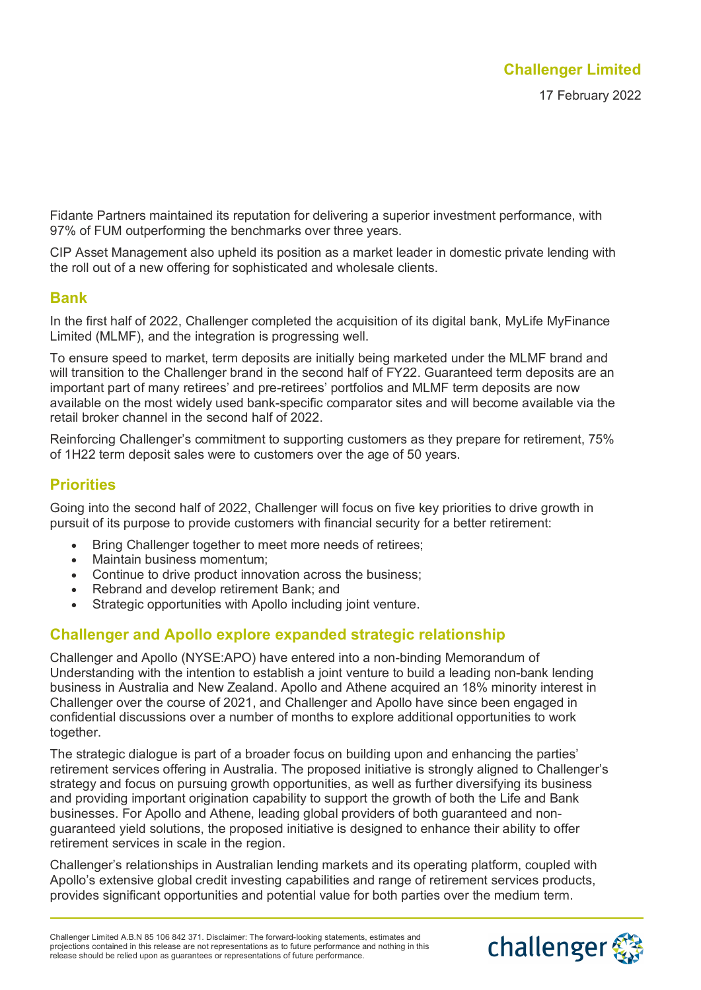Fidante Partners maintained its reputation for delivering a superior investment performance, with 97% of FUM outperforming the benchmarks over three years.

CIP Asset Management also upheld its position as a market leader in domestic private lending with the roll out of a new offering for sophisticated and wholesale clients.

#### **Bank**

In the first half of 2022, Challenger completed the acquisition of its digital bank, MyLife MyFinance Limited (MLMF), and the integration is progressing well.

To ensure speed to market, term deposits are initially being marketed under the MLMF brand and will transition to the Challenger brand in the second half of FY22. Guaranteed term deposits are an important part of many retirees' and pre-retirees' portfolios and MLMF term deposits are now available on the most widely used bank-specific comparator sites and will become available via the retail broker channel in the second half of 2022.

Reinforcing Challenger's commitment to supporting customers as they prepare for retirement, 75% of 1H22 term deposit sales were to customers over the age of 50 years.

## **Priorities**

Going into the second half of 2022, Challenger will focus on five key priorities to drive growth in pursuit of its purpose to provide customers with financial security for a better retirement:

- Bring Challenger together to meet more needs of retirees;
- Maintain business momentum;
- Continue to drive product innovation across the business;
- Rebrand and develop retirement Bank; and
- Strategic opportunities with Apollo including joint venture.

## **Challenger and Apollo explore expanded strategic relationship**

Challenger and Apollo (NYSE:APO) have entered into a non-binding Memorandum of Understanding with the intention to establish a joint venture to build a leading non-bank lending business in Australia and New Zealand. Apollo and Athene acquired an 18% minority interest in Challenger over the course of 2021, and Challenger and Apollo have since been engaged in confidential discussions over a number of months to explore additional opportunities to work together.

The strategic dialogue is part of a broader focus on building upon and enhancing the parties' retirement services offering in Australia. The proposed initiative is strongly aligned to Challenger's strategy and focus on pursuing growth opportunities, as well as further diversifying its business and providing important origination capability to support the growth of both the Life and Bank businesses. For Apollo and Athene, leading global providers of both guaranteed and nonguaranteed yield solutions, the proposed initiative is designed to enhance their ability to offer retirement services in scale in the region.

Challenger's relationships in Australian lending markets and its operating platform, coupled with Apollo's extensive global credit investing capabilities and range of retirement services products, provides significant opportunities and potential value for both parties over the medium term.

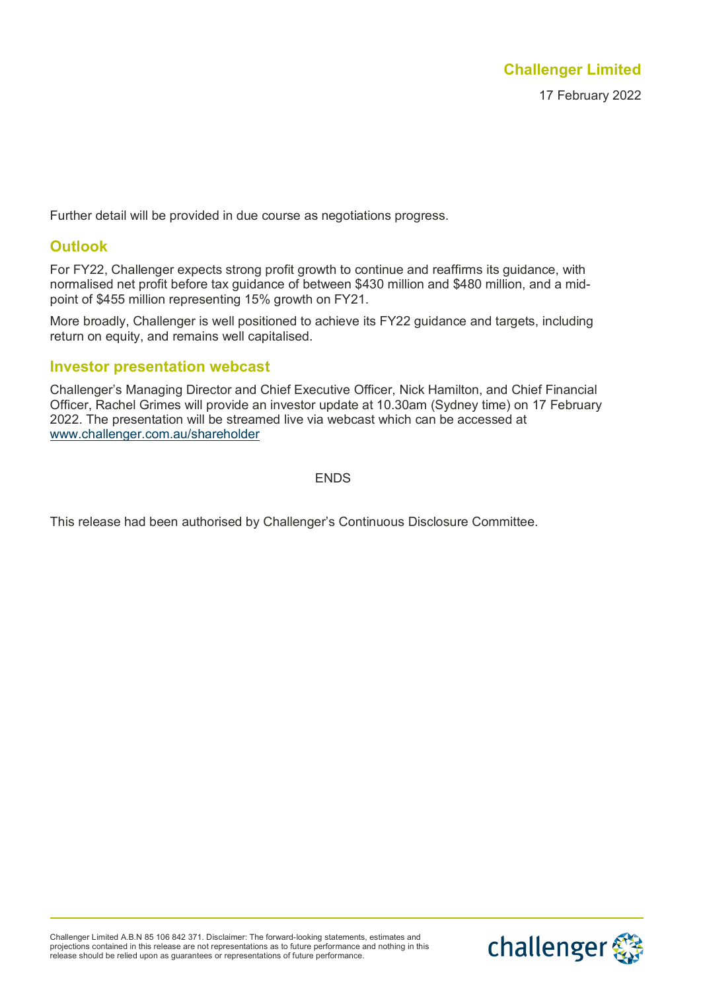Further detail will be provided in due course as negotiations progress.

## **Outlook**

For FY22, Challenger expects strong profit growth to continue and reaffirms its guidance, with normalised net profit before tax guidance of between \$430 million and \$480 million, and a midpoint of \$455 million representing 15% growth on FY21.

More broadly, Challenger is well positioned to achieve its FY22 guidance and targets, including return on equity, and remains well capitalised.

#### **Investor presentation webcast**

Challenger's Managing Director and Chief Executive Officer, Nick Hamilton, and Chief Financial Officer, Rachel Grimes will provide an investor update at 10.30am (Sydney time) on 17 February 2022. The presentation will be streamed live via webcast which can be accessed at [www.challenger.com.au/shareholder](http://www.challenger.com.au/shareholder)

ENDS

This release had been authorised by Challenger's Continuous Disclosure Committee.

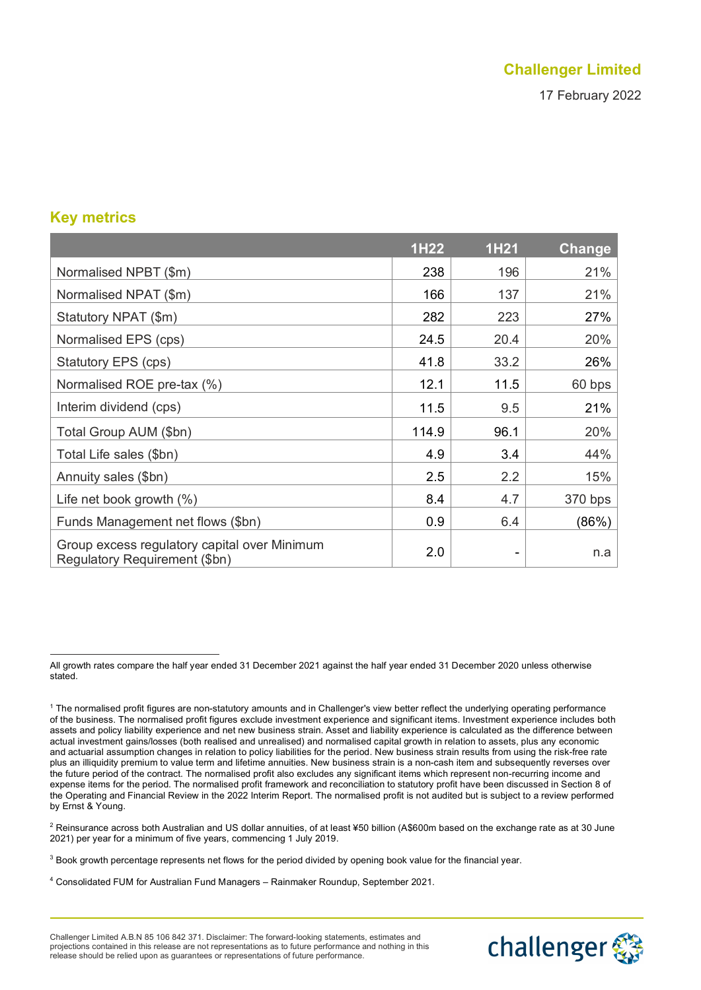# **Challenger Limited**

17 February 2022

## **Key metrics**

|                                                                               | 1H22  | <b>1H21</b> | <b>Change</b> |
|-------------------------------------------------------------------------------|-------|-------------|---------------|
| Normalised NPBT (\$m)                                                         | 238   | 196         | 21%           |
| Normalised NPAT (\$m)                                                         | 166   | 137         | 21%           |
| Statutory NPAT (\$m)                                                          | 282   | 223         | 27%           |
| Normalised EPS (cps)                                                          | 24.5  | 20.4        | 20%           |
| Statutory EPS (cps)                                                           | 41.8  | 33.2        | 26%           |
| Normalised ROE pre-tax (%)                                                    | 12.1  | 11.5        | 60 bps        |
| Interim dividend (cps)                                                        | 11.5  | 9.5         | 21%           |
| Total Group AUM (\$bn)                                                        | 114.9 | 96.1        | 20%           |
| Total Life sales (\$bn)                                                       | 4.9   | 3.4         | 44%           |
| Annuity sales (\$bn)                                                          | 2.5   | 2.2         | 15%           |
| Life net book growth $(\%)$                                                   | 8.4   | 4.7         | 370 bps       |
| Funds Management net flows (\$bn)                                             | 0.9   | 6.4         | (86%)         |
| Group excess regulatory capital over Minimum<br>Regulatory Requirement (\$bn) | 2.0   |             | n.a           |

<span id="page-5-1"></span><sup>2</sup> Reinsurance across both Australian and US dollar annuities, of at least ¥50 billion (A\$600m based on the exchange rate as at 30 June 2021) per year for a minimum of five years, commencing 1 July 2019.

- <span id="page-5-2"></span><sup>3</sup> Book growth percentage represents net flows for the period divided by opening book value for the financial year.
- <span id="page-5-3"></span><sup>4</sup> Consolidated FUM for Australian Fund Managers – Rainmaker Roundup, September 2021.



<span id="page-5-0"></span>All growth rates compare the half year ended 31 December 2021 against the half year ended 31 December 2020 unless otherwise stated.

<sup>1</sup> The normalised profit figures are non-statutory amounts and in Challenger's view better reflect the underlying operating performance of the business. The normalised profit figures exclude investment experience and significant items. Investment experience includes both assets and policy liability experience and net new business strain. Asset and liability experience is calculated as the difference between actual investment gains/losses (both realised and unrealised) and normalised capital growth in relation to assets, plus any economic and actuarial assumption changes in relation to policy liabilities for the period. New business strain results from using the risk-free rate plus an illiquidity premium to value term and lifetime annuities. New business strain is a non-cash item and subsequently reverses over the future period of the contract. The normalised profit also excludes any significant items which represent non-recurring income and expense items for the period. The normalised profit framework and reconciliation to statutory profit have been discussed in Section 8 of the Operating and Financial Review in the 2022 Interim Report. The normalised profit is not audited but is subject to a review performed by Ernst & Young.